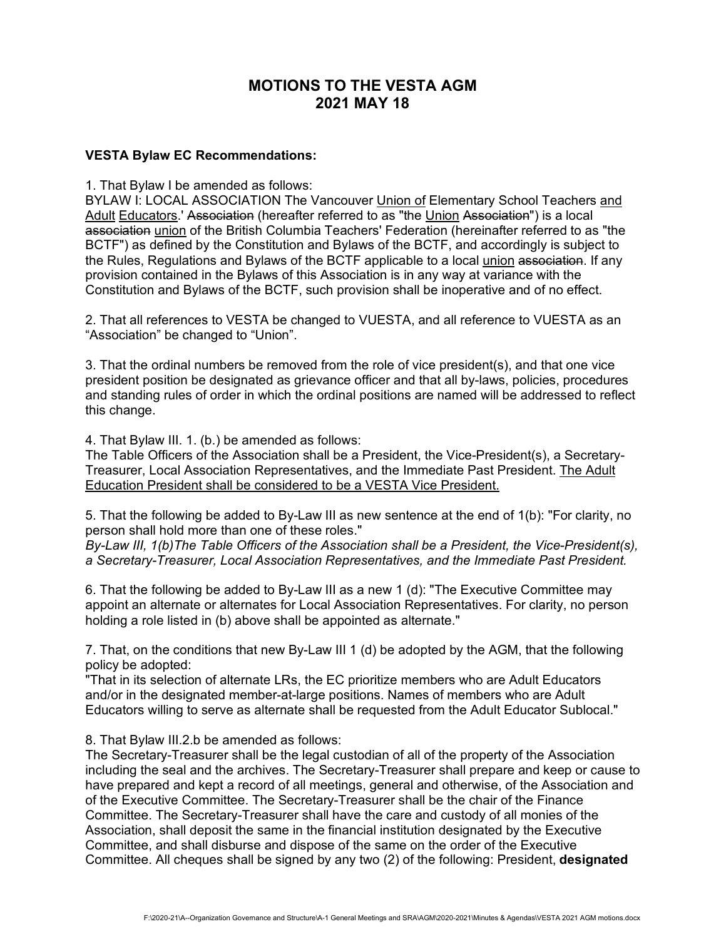# **MOTIONS TO THE VESTA AGM 2021 MAY 18**

#### **VESTA Bylaw EC Recommendations:**

1. That Bylaw I be amended as follows:

BYLAW I: LOCAL ASSOCIATION The Vancouver Union of Elementary School Teachers and Adult Educators.' Association (hereafter referred to as "the Union Association") is a local association union of the British Columbia Teachers' Federation (hereinafter referred to as "the BCTF") as defined by the Constitution and Bylaws of the BCTF, and accordingly is subject to the Rules, Regulations and Bylaws of the BCTF applicable to a local union association. If any provision contained in the Bylaws of this Association is in any way at variance with the Constitution and Bylaws of the BCTF, such provision shall be inoperative and of no effect.

2. That all references to VESTA be changed to VUESTA, and all reference to VUESTA as an "Association" be changed to "Union".

3. That the ordinal numbers be removed from the role of vice president(s), and that one vice president position be designated as grievance officer and that all by-laws, policies, procedures and standing rules of order in which the ordinal positions are named will be addressed to reflect this change.

4. That Bylaw III. 1. (b.) be amended as follows:

The Table Officers of the Association shall be a President, the Vice-President(s), a Secretary-Treasurer, Local Association Representatives, and the Immediate Past President. The Adult Education President shall be considered to be a VESTA Vice President.

5. That the following be added to By-Law III as new sentence at the end of 1(b): "For clarity, no person shall hold more than one of these roles."

*By-Law III, 1(b)The Table Officers of the Association shall be a President, the Vice-President(s), a Secretary-Treasurer, Local Association Representatives, and the Immediate Past President.*

6. That the following be added to By-Law III as a new 1 (d): "The Executive Committee may appoint an alternate or alternates for Local Association Representatives. For clarity, no person holding a role listed in (b) above shall be appointed as alternate."

7. That, on the conditions that new By-Law III 1 (d) be adopted by the AGM, that the following policy be adopted:

"That in its selection of alternate LRs, the EC prioritize members who are Adult Educators and/or in the designated member-at-large positions. Names of members who are Adult Educators willing to serve as alternate shall be requested from the Adult Educator Sublocal."

8. That Bylaw III.2.b be amended as follows:

The Secretary-Treasurer shall be the legal custodian of all of the property of the Association including the seal and the archives. The Secretary-Treasurer shall prepare and keep or cause to have prepared and kept a record of all meetings, general and otherwise, of the Association and of the Executive Committee. The Secretary-Treasurer shall be the chair of the Finance Committee. The Secretary-Treasurer shall have the care and custody of all monies of the Association, shall deposit the same in the financial institution designated by the Executive Committee, and shall disburse and dispose of the same on the order of the Executive Committee. All cheques shall be signed by any two (2) of the following: President, **designated**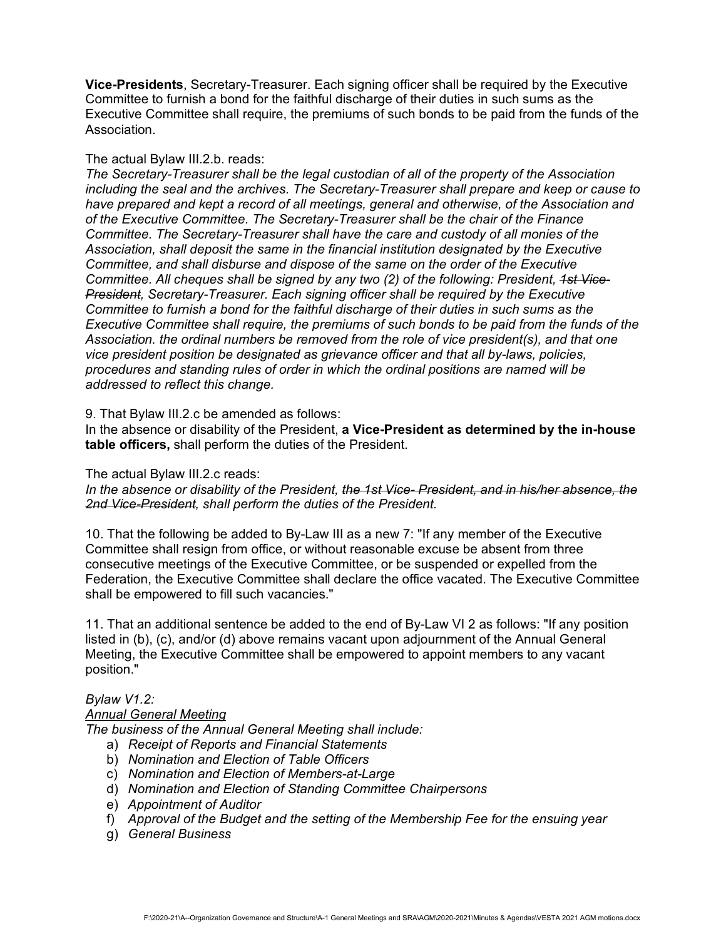**Vice-Presidents**, Secretary-Treasurer. Each signing officer shall be required by the Executive Committee to furnish a bond for the faithful discharge of their duties in such sums as the Executive Committee shall require, the premiums of such bonds to be paid from the funds of the Association.

### The actual Bylaw III.2.b. reads:

*The Secretary-Treasurer shall be the legal custodian of all of the property of the Association including the seal and the archives. The Secretary-Treasurer shall prepare and keep or cause to have prepared and kept a record of all meetings, general and otherwise, of the Association and of the Executive Committee. The Secretary-Treasurer shall be the chair of the Finance Committee. The Secretary-Treasurer shall have the care and custody of all monies of the Association, shall deposit the same in the financial institution designated by the Executive Committee, and shall disburse and dispose of the same on the order of the Executive Committee. All cheques shall be signed by any two (2) of the following: President, 1st Vice-President, Secretary-Treasurer. Each signing officer shall be required by the Executive Committee to furnish a bond for the faithful discharge of their duties in such sums as the Executive Committee shall require, the premiums of such bonds to be paid from the funds of the Association. the ordinal numbers be removed from the role of vice president(s), and that one vice president position be designated as grievance officer and that all by-laws, policies, procedures and standing rules of order in which the ordinal positions are named will be addressed to reflect this change.*

9. That Bylaw III.2.c be amended as follows:

In the absence or disability of the President, **a Vice-President as determined by the in-house table officers,** shall perform the duties of the President.

The actual Bylaw III.2.c reads:

*In the absence or disability of the President, the 1st Vice- President, and in his/her absence, the 2nd Vice-President, shall perform the duties of the President.*

10. That the following be added to By-Law III as a new 7: "If any member of the Executive Committee shall resign from office, or without reasonable excuse be absent from three consecutive meetings of the Executive Committee, or be suspended or expelled from the Federation, the Executive Committee shall declare the office vacated. The Executive Committee shall be empowered to fill such vacancies."

11. That an additional sentence be added to the end of By-Law VI 2 as follows: "If any position listed in (b), (c), and/or (d) above remains vacant upon adjournment of the Annual General Meeting, the Executive Committee shall be empowered to appoint members to any vacant position."

# *Bylaw V1.2:*

## *Annual General Meeting*

*The business of the Annual General Meeting shall include:*

- a) *Receipt of Reports and Financial Statements*
- b) *Nomination and Election of Table Officers*
- c) *Nomination and Election of Members-at-Large*
- d) *Nomination and Election of Standing Committee Chairpersons*
- e) *Appointment of Auditor*
- f) *Approval of the Budget and the setting of the Membership Fee for the ensuing year*
- g) *General Business*